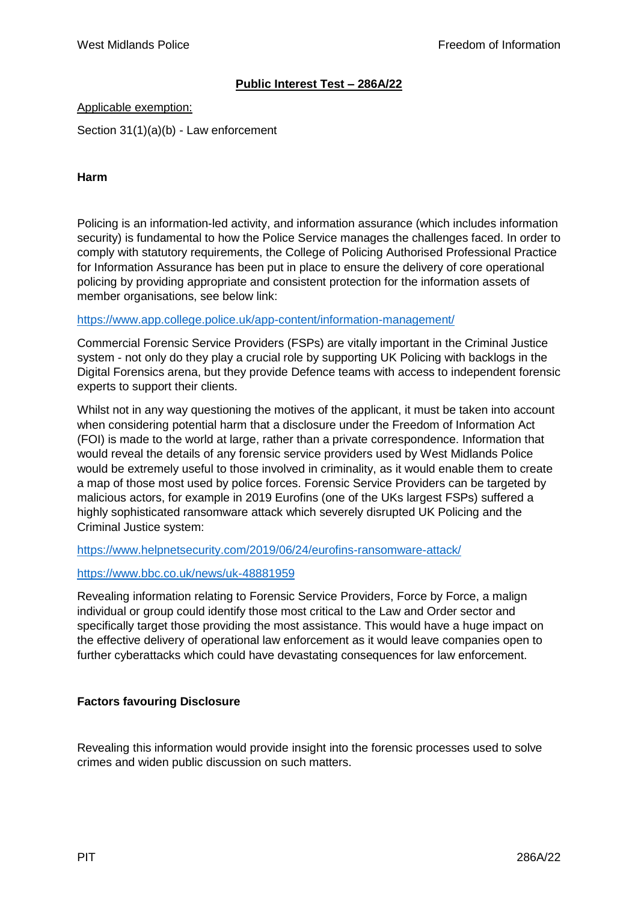# **Public Interest Test – 286A/22**

#### Applicable exemption:

Section 31(1)(a)(b) - Law enforcement

**Harm** 

Policing is an information-led activity, and information assurance (which includes information security) is fundamental to how the Police Service manages the challenges faced. In order to comply with statutory requirements, the College of Policing Authorised Professional Practice for Information Assurance has been put in place to ensure the delivery of core operational policing by providing appropriate and consistent protection for the information assets of member organisations, see below link:

#### <https://www.app.college.police.uk/app-content/information-management/>

Commercial Forensic Service Providers (FSPs) are vitally important in the Criminal Justice system - not only do they play a crucial role by supporting UK Policing with backlogs in the Digital Forensics arena, but they provide Defence teams with access to independent forensic experts to support their clients.

Whilst not in any way questioning the motives of the applicant, it must be taken into account when considering potential harm that a disclosure under the Freedom of Information Act (FOI) is made to the world at large, rather than a private correspondence. Information that would reveal the details of any forensic service providers used by West Midlands Police would be extremely useful to those involved in criminality, as it would enable them to create a map of those most used by police forces. Forensic Service Providers can be targeted by malicious actors, for example in 2019 Eurofins (one of the UKs largest FSPs) suffered a highly sophisticated ransomware attack which severely disrupted UK Policing and the Criminal Justice system:

#### <https://www.helpnetsecurity.com/2019/06/24/eurofins-ransomware-attack/>

## <https://www.bbc.co.uk/news/uk-48881959>

Revealing information relating to Forensic Service Providers, Force by Force, a malign individual or group could identify those most critical to the Law and Order sector and specifically target those providing the most assistance. This would have a huge impact on the effective delivery of operational law enforcement as it would leave companies open to further cyberattacks which could have devastating consequences for law enforcement.

## **Factors favouring Disclosure**

Revealing this information would provide insight into the forensic processes used to solve crimes and widen public discussion on such matters.